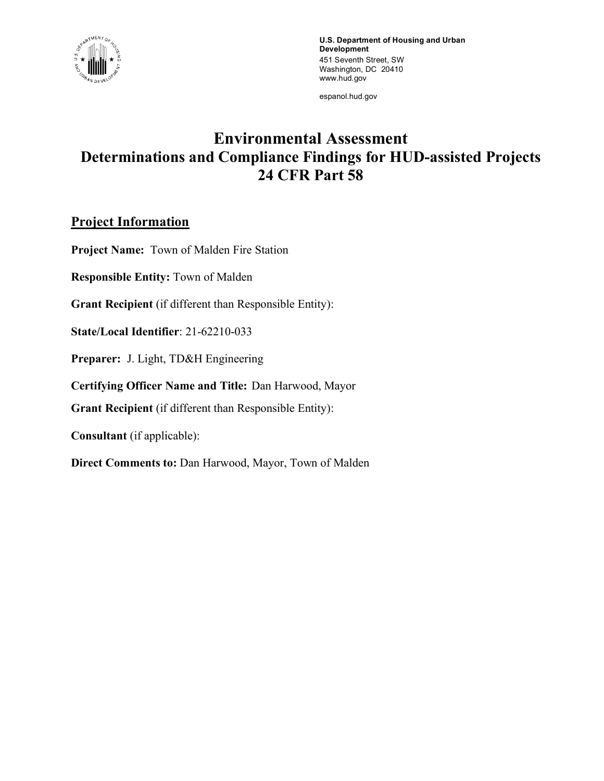

**U.S. Department of Housing and Urban Development** 451 Seventh Street, SW Washington, DC 20410 www.hud.gov

espanol.hud.gov

# **Environmental Assessment Determinations and Compliance Findings for HUD-assisted Projects 24 CFR Part 58**

# **Project Information**

**Project Name:** Town of Malden Fire Station

**Responsible Entity:** Town of Malden

**Grant Recipient** (if different than Responsible Entity):

**State/Local Identifier**: 21-62210-033

**Preparer:** J. Light, TD&H Engineering

**Certifying Officer Name and Title:** Dan Harwood, Mayor

**Grant Recipient** (if different than Responsible Entity):

**Consultant** (if applicable):

**Direct Comments to:** Dan Harwood, Mayor, Town of Malden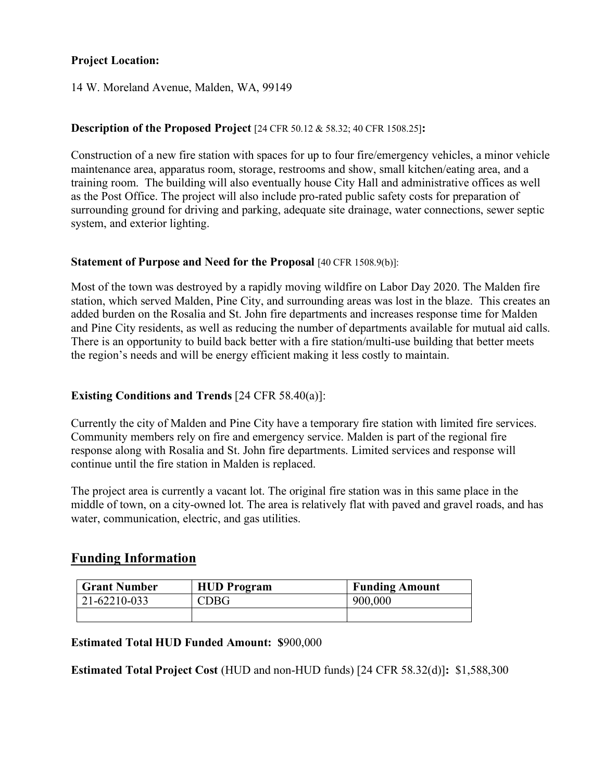# **Project Location:**

14 W. Moreland Avenue, Malden, WA, 99149

#### **Description of the Proposed Project** [24 CFR 50.12 & 58.32; 40 CFR 1508.25]**:**

Construction of a new fire station with spaces for up to four fire/emergency vehicles, a minor vehicle maintenance area, apparatus room, storage, restrooms and show, small kitchen/eating area, and a training room. The building will also eventually house City Hall and administrative offices as well as the Post Office. The project will also include pro-rated public safety costs for preparation of surrounding ground for driving and parking, adequate site drainage, water connections, sewer septic system, and exterior lighting.

#### **Statement of Purpose and Need for the Proposal** [40 CFR 1508.9(b)]:

Most of the town was destroyed by a rapidly moving wildfire on Labor Day 2020. The Malden fire station, which served Malden, Pine City, and surrounding areas was lost in the blaze. This creates an added burden on the Rosalia and St. John fire departments and increases response time for Malden and Pine City residents, as well as reducing the number of departments available for mutual aid calls. There is an opportunity to build back better with a fire station/multi-use building that better meets the region's needs and will be energy efficient making it less costly to maintain.

# **Existing Conditions and Trends** [24 CFR 58.40(a)]:

Currently the city of Malden and Pine City have a temporary fire station with limited fire services. Community members rely on fire and emergency service. Malden is part of the regional fire response along with Rosalia and St. John fire departments. Limited services and response will continue until the fire station in Malden is replaced.

The project area is currently a vacant lot. The original fire station was in this same place in the middle of town, on a city-owned lot. The area is relatively flat with paved and gravel roads, and has water, communication, electric, and gas utilities.

# **Funding Information**

| <b>Grant Number</b> | <b>HUD</b> Program | <b>Funding Amount</b> |
|---------------------|--------------------|-----------------------|
| 21-62210-033        | CDBG               | 900,000               |
|                     |                    |                       |

# **Estimated Total HUD Funded Amount: \$**900,000

**Estimated Total Project Cost** (HUD and non-HUD funds) [24 CFR 58.32(d)]**:** \$1,588,300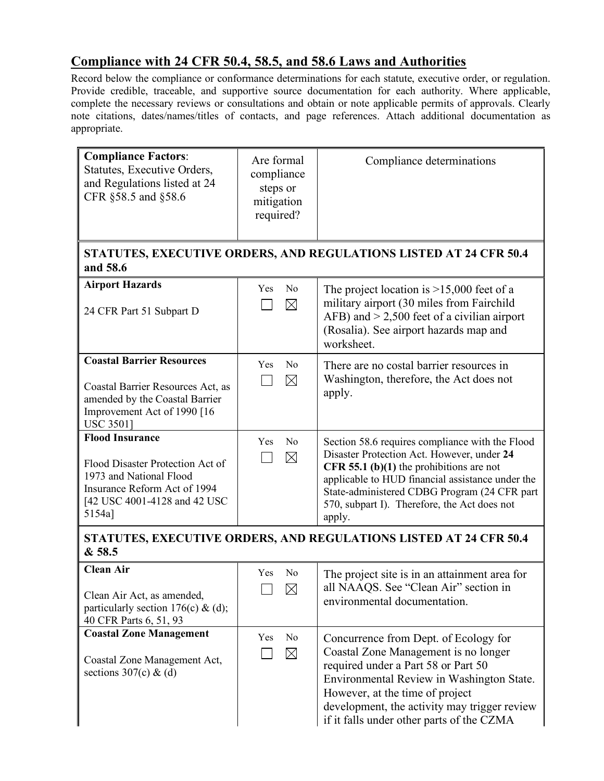# **Compliance with 24 CFR 50.4, 58.5, and 58.6 Laws and Authorities**

Record below the compliance or conformance determinations for each statute, executive order, or regulation. Provide credible, traceable, and supportive source documentation for each authority. Where applicable, complete the necessary reviews or consultations and obtain or note applicable permits of approvals. Clearly note citations, dates/names/titles of contacts, and page references. Attach additional documentation as appropriate.

| <b>Compliance Factors:</b><br>Statutes, Executive Orders,<br>and Regulations listed at 24<br>CFR §58.5 and §58.6                                                | Are formal<br>compliance<br>steps or<br>mitigation<br>required? | Compliance determinations                                                                                                                                                                                                                                                                               |  |
|-----------------------------------------------------------------------------------------------------------------------------------------------------------------|-----------------------------------------------------------------|---------------------------------------------------------------------------------------------------------------------------------------------------------------------------------------------------------------------------------------------------------------------------------------------------------|--|
| and 58.6                                                                                                                                                        |                                                                 | STATUTES, EXECUTIVE ORDERS, AND REGULATIONS LISTED AT 24 CFR 50.4                                                                                                                                                                                                                                       |  |
| <b>Airport Hazards</b><br>24 CFR Part 51 Subpart D                                                                                                              | N <sub>0</sub><br>Yes<br>$\boxtimes$                            | The project location is $>15,000$ feet of a<br>military airport (30 miles from Fairchild<br>AFB) and $> 2,500$ feet of a civilian airport<br>(Rosalia). See airport hazards map and<br>worksheet.                                                                                                       |  |
| <b>Coastal Barrier Resources</b><br>Coastal Barrier Resources Act, as<br>amended by the Coastal Barrier<br>Improvement Act of 1990 [16<br><b>USC 35011</b>      | N <sub>0</sub><br>Yes<br>$\boxtimes$                            | There are no costal barrier resources in<br>Washington, therefore, the Act does not<br>apply.                                                                                                                                                                                                           |  |
| <b>Flood Insurance</b><br>Flood Disaster Protection Act of<br>1973 and National Flood<br>Insurance Reform Act of 1994<br>[42 USC 4001-4128 and 42 USC<br>5154a] | N <sub>0</sub><br>Yes<br>$\boxtimes$                            | Section 58.6 requires compliance with the Flood<br>Disaster Protection Act. However, under 24<br>CFR 55.1 (b)(1) the prohibitions are not<br>applicable to HUD financial assistance under the<br>State-administered CDBG Program (24 CFR part<br>570, subpart I). Therefore, the Act does not<br>apply. |  |
| STATUTES, EXECUTIVE ORDERS, AND REGULATIONS LISTED AT 24 CFR 50.4<br>& 58.5                                                                                     |                                                                 |                                                                                                                                                                                                                                                                                                         |  |
| <b>Clean Air</b><br>Clean Air Act, as amended,<br>particularly section 176(c) & (d);<br>40 CFR Parts 6, 51, 93                                                  | Yes<br>N <sub>0</sub><br>$\boxtimes$                            | The project site is in an attainment area for<br>all NAAQS. See "Clean Air" section in<br>environmental documentation.                                                                                                                                                                                  |  |
| <b>Coastal Zone Management</b><br>Coastal Zone Management Act,<br>sections $307(c)$ & (d)                                                                       | Yes<br>N <sub>0</sub><br>$\boxtimes$                            | Concurrence from Dept. of Ecology for<br>Coastal Zone Management is no longer<br>required under a Part 58 or Part 50<br>Environmental Review in Washington State.<br>However, at the time of project<br>development, the activity may trigger review<br>if it falls under other parts of the CZMA       |  |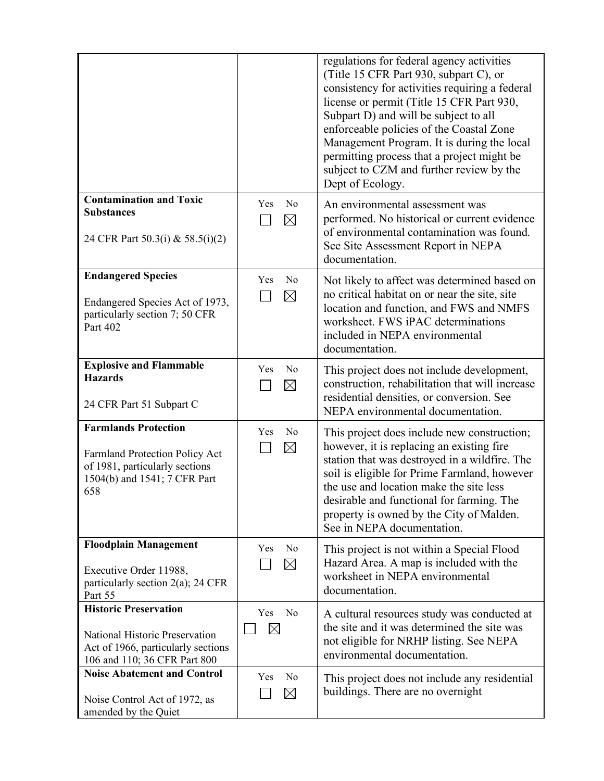|                                                                                                                                        |                                      | regulations for federal agency activities<br>(Title 15 CFR Part 930, subpart C), or<br>consistency for activities requiring a federal<br>license or permit (Title 15 CFR Part 930,<br>Subpart D) and will be subject to all<br>enforceable policies of the Coastal Zone<br>Management Program. It is during the local<br>permitting process that a project might be<br>subject to CZM and further review by the<br>Dept of Ecology. |
|----------------------------------------------------------------------------------------------------------------------------------------|--------------------------------------|-------------------------------------------------------------------------------------------------------------------------------------------------------------------------------------------------------------------------------------------------------------------------------------------------------------------------------------------------------------------------------------------------------------------------------------|
| <b>Contamination and Toxic</b><br><b>Substances</b><br>24 CFR Part 50.3(i) & 58.5(i)(2)                                                | N <sub>0</sub><br>Yes<br>$\boxtimes$ | An environmental assessment was<br>performed. No historical or current evidence<br>of environmental contamination was found.<br>See Site Assessment Report in NEPA<br>documentation.                                                                                                                                                                                                                                                |
| <b>Endangered Species</b><br>Endangered Species Act of 1973,<br>particularly section 7; 50 CFR<br>Part 402                             | N <sub>0</sub><br>Yes<br>$\times$    | Not likely to affect was determined based on<br>no critical habitat on or near the site, site<br>location and function, and FWS and NMFS<br>worksheet. FWS iPAC determinations<br>included in NEPA environmental<br>documentation.                                                                                                                                                                                                  |
| <b>Explosive and Flammable</b><br><b>Hazards</b><br>24 CFR Part 51 Subpart C                                                           | Yes<br>N <sub>0</sub><br>$\times$    | This project does not include development,<br>construction, rehabilitation that will increase<br>residential densities, or conversion. See<br>NEPA environmental documentation.                                                                                                                                                                                                                                                     |
| <b>Farmlands Protection</b><br>Farmland Protection Policy Act<br>of 1981, particularly sections<br>1504(b) and 1541; 7 CFR Part<br>658 | Yes<br>N <sub>0</sub><br>$\boxtimes$ | This project does include new construction;<br>however, it is replacing an existing fire<br>station that was destroyed in a wildfire. The<br>soil is eligible for Prime Farmland, however<br>the use and location make the site less<br>desirable and functional for farming. The<br>property is owned by the City of Malden.<br>See in NEPA documentation.                                                                         |
| <b>Floodplain Management</b><br>Executive Order 11988,<br>particularly section $2(a)$ ; 24 CFR<br>Part 55                              | Yes<br>N <sub>0</sub><br>$\times$    | This project is not within a Special Flood<br>Hazard Area. A map is included with the<br>worksheet in NEPA environmental<br>documentation.                                                                                                                                                                                                                                                                                          |
| <b>Historic Preservation</b><br>National Historic Preservation<br>Act of 1966, particularly sections<br>106 and 110; 36 CFR Part 800   | N <sub>0</sub><br>Yes<br>$\boxtimes$ | A cultural resources study was conducted at<br>the site and it was determined the site was<br>not eligible for NRHP listing. See NEPA<br>environmental documentation.                                                                                                                                                                                                                                                               |
| <b>Noise Abatement and Control</b><br>Noise Control Act of 1972, as<br>amended by the Quiet                                            | Yes<br>N <sub>0</sub><br>$\boxtimes$ | This project does not include any residential<br>buildings. There are no overnight                                                                                                                                                                                                                                                                                                                                                  |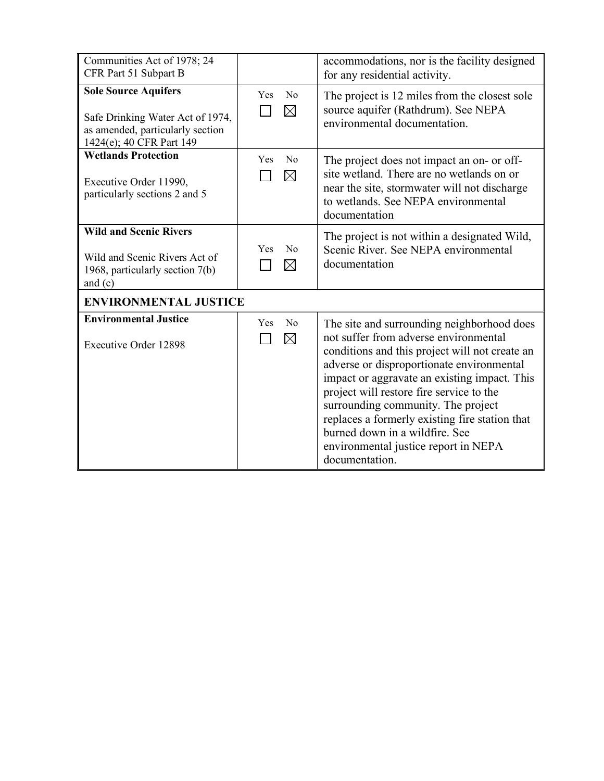| Communities Act of 1978; 24<br>CFR Part 51 Subpart B                                                                            |                                      | accommodations, nor is the facility designed<br>for any residential activity.                                                                                                                                                                                                                                                                                                                                                                                      |  |
|---------------------------------------------------------------------------------------------------------------------------------|--------------------------------------|--------------------------------------------------------------------------------------------------------------------------------------------------------------------------------------------------------------------------------------------------------------------------------------------------------------------------------------------------------------------------------------------------------------------------------------------------------------------|--|
| <b>Sole Source Aquifers</b><br>Safe Drinking Water Act of 1974,<br>as amended, particularly section<br>1424(e); 40 CFR Part 149 | N <sub>0</sub><br>Yes<br>$\times$    | The project is 12 miles from the closest sole<br>source aquifer (Rathdrum). See NEPA<br>environmental documentation.                                                                                                                                                                                                                                                                                                                                               |  |
| <b>Wetlands Protection</b><br>Executive Order 11990,<br>particularly sections 2 and 5                                           | No<br>Yes<br>$\boxtimes$             | The project does not impact an on- or off-<br>site wetland. There are no wetlands on or<br>near the site, stormwater will not discharge<br>to wetlands. See NEPA environmental<br>documentation                                                                                                                                                                                                                                                                    |  |
| <b>Wild and Scenic Rivers</b><br>Wild and Scenic Rivers Act of<br>1968, particularly section 7(b)<br>and $(c)$                  | N <sub>0</sub><br>Yes<br>$\boxtimes$ | The project is not within a designated Wild,<br>Scenic River. See NEPA environmental<br>documentation                                                                                                                                                                                                                                                                                                                                                              |  |
| <b>ENVIRONMENTAL JUSTICE</b>                                                                                                    |                                      |                                                                                                                                                                                                                                                                                                                                                                                                                                                                    |  |
| <b>Environmental Justice</b><br><b>Executive Order 12898</b>                                                                    | Yes<br>$\rm No$<br>$\times$          | The site and surrounding neighborhood does<br>not suffer from adverse environmental<br>conditions and this project will not create an<br>adverse or disproportionate environmental<br>impact or aggravate an existing impact. This<br>project will restore fire service to the<br>surrounding community. The project<br>replaces a formerly existing fire station that<br>burned down in a wildfire. See<br>environmental justice report in NEPA<br>documentation. |  |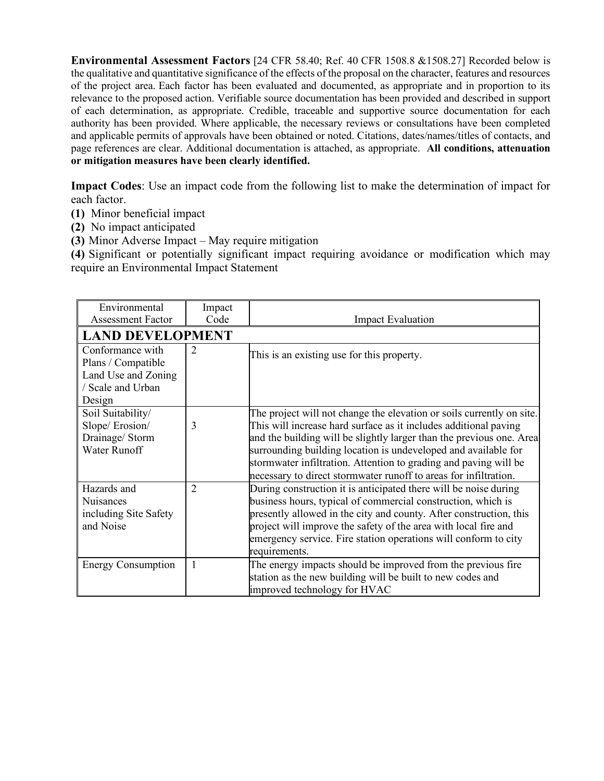**Environmental Assessment Factors** [24 CFR 58.40; Ref. 40 CFR 1508.8 &1508.27] Recorded below is the qualitative and quantitative significance of the effects of the proposal on the character, features and resources of the project area. Each factor has been evaluated and documented, as appropriate and in proportion to its relevance to the proposed action. Verifiable source documentation has been provided and described in support of each determination, as appropriate. Credible, traceable and supportive source documentation for each authority has been provided. Where applicable, the necessary reviews or consultations have been completed and applicable permits of approvals have been obtained or noted. Citations, dates/names/titles of contacts, and page references are clear. Additional documentation is attached, as appropriate. **All conditions, attenuation or mitigation measures have been clearly identified.**

**Impact Codes**: Use an impact code from the following list to make the determination of impact for each factor.

- **(1)** Minor beneficial impact
- **(2)** No impact anticipated
- **(3)** Minor Adverse Impact May require mitigation

**(4)** Significant or potentially significant impact requiring avoidance or modification which may require an Environmental Impact Statement

| Environmental             | Impact         |                                                                       |
|---------------------------|----------------|-----------------------------------------------------------------------|
| <b>Assessment Factor</b>  | Code           | <b>Impact Evaluation</b>                                              |
| <b>LAND DEVELOPMENT</b>   |                |                                                                       |
| Conformance with          | $\overline{2}$ | This is an existing use for this property.                            |
| Plans / Compatible        |                |                                                                       |
| Land Use and Zoning       |                |                                                                       |
| / Scale and Urban         |                |                                                                       |
| Design                    |                |                                                                       |
| Soil Suitability/         |                | The project will not change the elevation or soils currently on site. |
| Slope/Erosion/            | 3              | This will increase hard surface as it includes additional paving      |
| Drainage/ Storm           |                | and the building will be slightly larger than the previous one. Area  |
| Water Runoff              |                | surrounding building location is undeveloped and available for        |
|                           |                | stormwater infiltration. Attention to grading and paving will be      |
|                           |                | necessary to direct stormwater runoff to areas for infiltration.      |
| Hazards and               | $\mathfrak{D}$ | During construction it is anticipated there will be noise during      |
| <b>Nuisances</b>          |                | business hours, typical of commercial construction, which is          |
| including Site Safety     |                | presently allowed in the city and county. After construction, this    |
| and Noise                 |                | project will improve the safety of the area with local fire and       |
|                           |                | emergency service. Fire station operations will conform to city       |
|                           |                | requirements.                                                         |
| <b>Energy Consumption</b> |                | The energy impacts should be improved from the previous fire          |
|                           |                | station as the new building will be built to new codes and            |
|                           |                | improved technology for HVAC                                          |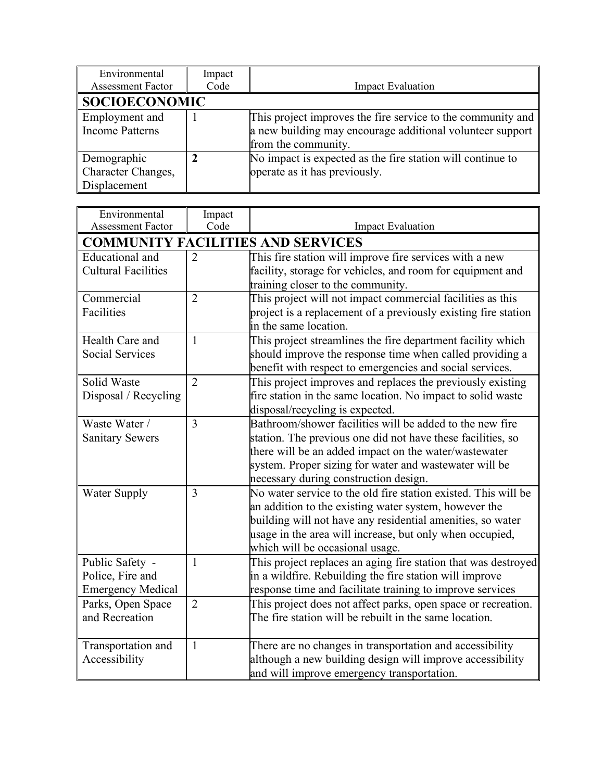| Environmental            | Impact |                                                             |  |
|--------------------------|--------|-------------------------------------------------------------|--|
| <b>Assessment Factor</b> | Code   | <b>Impact Evaluation</b>                                    |  |
| <b>SOCIOECONOMIC</b>     |        |                                                             |  |
| Employment and           |        | This project improves the fire service to the community and |  |
| <b>Income Patterns</b>   |        | a new building may encourage additional volunteer support   |  |
|                          |        | from the community.                                         |  |
| Demographic              |        | No impact is expected as the fire station will continue to  |  |
| Character Changes,       |        | operate as it has previously.                               |  |
| Displacement             |        |                                                             |  |

| Environmental              | Impact         |                                                                |
|----------------------------|----------------|----------------------------------------------------------------|
| <b>Assessment Factor</b>   | Code           | <b>Impact Evaluation</b>                                       |
|                            |                | <b>COMMUNITY FACILITIES AND SERVICES</b>                       |
| Educational and            | $\overline{2}$ | This fire station will improve fire services with a new        |
| <b>Cultural Facilities</b> |                | facility, storage for vehicles, and room for equipment and     |
|                            |                | training closer to the community.                              |
| Commercial                 | $\overline{2}$ | This project will not impact commercial facilities as this     |
| Facilities                 |                | project is a replacement of a previously existing fire station |
|                            |                | in the same location.                                          |
| Health Care and            | $\mathbf{1}$   | This project streamlines the fire department facility which    |
| <b>Social Services</b>     |                | should improve the response time when called providing a       |
|                            |                | benefit with respect to emergencies and social services.       |
| Solid Waste                | $\overline{2}$ | This project improves and replaces the previously existing     |
| Disposal / Recycling       |                | fire station in the same location. No impact to solid waste    |
|                            |                | disposal/recycling is expected.                                |
| Waste Water /              | $\overline{3}$ | Bathroom/shower facilities will be added to the new fire       |
| <b>Sanitary Sewers</b>     |                | station. The previous one did not have these facilities, so    |
|                            |                | there will be an added impact on the water/wastewater          |
|                            |                | system. Proper sizing for water and wastewater will be         |
|                            |                | necessary during construction design.                          |
| <b>Water Supply</b>        | 3              | No water service to the old fire station existed. This will be |
|                            |                | an addition to the existing water system, however the          |
|                            |                | building will not have any residential amenities, so water     |
|                            |                | usage in the area will increase, but only when occupied,       |
|                            |                | which will be occasional usage.                                |
| Public Safety -            | 1              | This project replaces an aging fire station that was destroyed |
| Police, Fire and           |                | in a wildfire. Rebuilding the fire station will improve        |
| <b>Emergency Medical</b>   |                | response time and facilitate training to improve services      |
| Parks, Open Space          | $\overline{2}$ | This project does not affect parks, open space or recreation.  |
| and Recreation             |                | The fire station will be rebuilt in the same location.         |
|                            |                |                                                                |
| Transportation and         | $\mathbf{1}$   | There are no changes in transportation and accessibility       |
| Accessibility              |                | although a new building design will improve accessibility      |
|                            |                | and will improve emergency transportation.                     |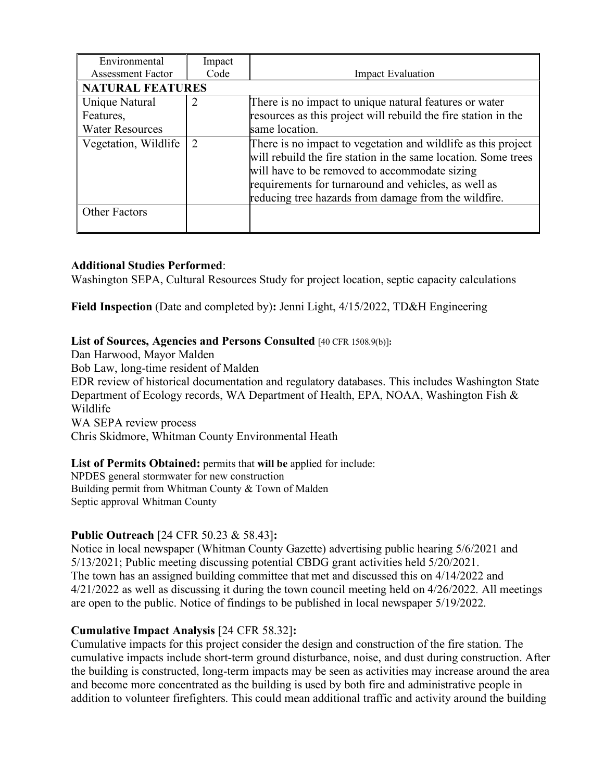| Environmental            | Impact |                                                                                                                                                                                                                                                                                                  |  |
|--------------------------|--------|--------------------------------------------------------------------------------------------------------------------------------------------------------------------------------------------------------------------------------------------------------------------------------------------------|--|
| <b>Assessment Factor</b> | Code   | <b>Impact Evaluation</b>                                                                                                                                                                                                                                                                         |  |
| <b>NATURAL FEATURES</b>  |        |                                                                                                                                                                                                                                                                                                  |  |
| Unique Natural           | 2      | There is no impact to unique natural features or water                                                                                                                                                                                                                                           |  |
| Features,                |        | resources as this project will rebuild the fire station in the                                                                                                                                                                                                                                   |  |
| <b>Water Resources</b>   |        | same location.                                                                                                                                                                                                                                                                                   |  |
| Vegetation, Wildlife     | 2      | There is no impact to vegetation and wildlife as this project<br>will rebuild the fire station in the same location. Some trees<br>will have to be removed to accommodate sizing<br>requirements for turnaround and vehicles, as well as<br>reducing tree hazards from damage from the wildfire. |  |
| <b>Other Factors</b>     |        |                                                                                                                                                                                                                                                                                                  |  |

# **Additional Studies Performed**:

Washington SEPA, Cultural Resources Study for project location, septic capacity calculations

**Field Inspection** (Date and completed by)**:** Jenni Light, 4/15/2022, TD&H Engineering

#### **List of Sources, Agencies and Persons Consulted** [40 CFR 1508.9(b)]**:**

Dan Harwood, Mayor Malden

Bob Law, long-time resident of Malden

EDR review of historical documentation and regulatory databases. This includes Washington State Department of Ecology records, WA Department of Health, EPA, NOAA, Washington Fish & Wildlife

WA SEPA review process

Chris Skidmore, Whitman County Environmental Heath

**List of Permits Obtained:** permits that **will be** applied for include:

NPDES general stormwater for new construction Building permit from Whitman County & Town of Malden Septic approval Whitman County

#### **Public Outreach** [24 CFR 50.23 & 58.43]**:**

Notice in local newspaper (Whitman County Gazette) advertising public hearing 5/6/2021 and 5/13/2021; Public meeting discussing potential CBDG grant activities held 5/20/2021. The town has an assigned building committee that met and discussed this on 4/14/2022 and 4/21/2022 as well as discussing it during the town council meeting held on 4/26/2022. All meetings are open to the public. Notice of findings to be published in local newspaper 5/19/2022.

#### **Cumulative Impact Analysis** [24 CFR 58.32]**:**

Cumulative impacts for this project consider the design and construction of the fire station. The cumulative impacts include short-term ground disturbance, noise, and dust during construction. After the building is constructed, long-term impacts may be seen as activities may increase around the area and become more concentrated as the building is used by both fire and administrative people in addition to volunteer firefighters. This could mean additional traffic and activity around the building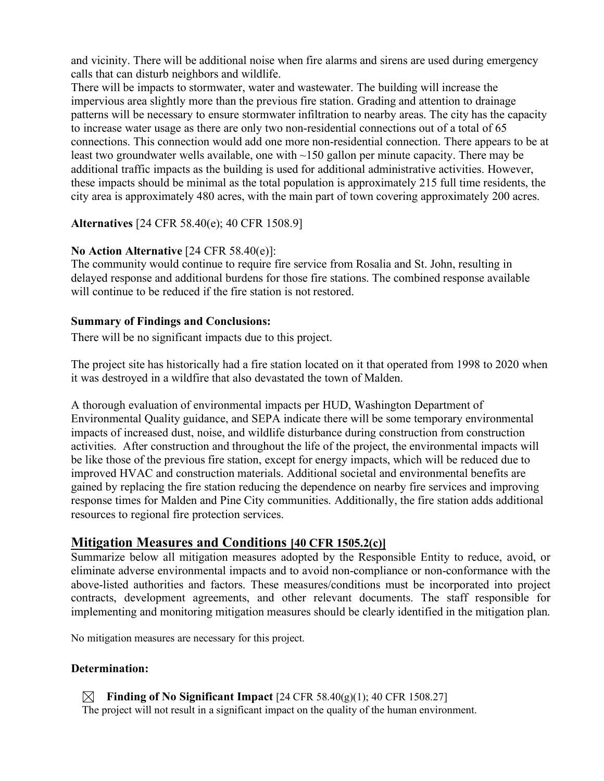and vicinity. There will be additional noise when fire alarms and sirens are used during emergency calls that can disturb neighbors and wildlife.

There will be impacts to stormwater, water and wastewater. The building will increase the impervious area slightly more than the previous fire station. Grading and attention to drainage patterns will be necessary to ensure stormwater infiltration to nearby areas. The city has the capacity to increase water usage as there are only two non-residential connections out of a total of 65 connections. This connection would add one more non-residential connection. There appears to be at least two groundwater wells available, one with ~150 gallon per minute capacity. There may be additional traffic impacts as the building is used for additional administrative activities. However, these impacts should be minimal as the total population is approximately 215 full time residents, the city area is approximately 480 acres, with the main part of town covering approximately 200 acres.

# **Alternatives** [24 CFR 58.40(e); 40 CFR 1508.9]

# **No Action Alternative** [24 CFR 58.40(e)]:

The community would continue to require fire service from Rosalia and St. John, resulting in delayed response and additional burdens for those fire stations. The combined response available will continue to be reduced if the fire station is not restored.

#### **Summary of Findings and Conclusions:**

There will be no significant impacts due to this project.

The project site has historically had a fire station located on it that operated from 1998 to 2020 when it was destroyed in a wildfire that also devastated the town of Malden.

A thorough evaluation of environmental impacts per HUD, Washington Department of Environmental Quality guidance, and SEPA indicate there will be some temporary environmental impacts of increased dust, noise, and wildlife disturbance during construction from construction activities. After construction and throughout the life of the project, the environmental impacts will be like those of the previous fire station, except for energy impacts, which will be reduced due to improved HVAC and construction materials. Additional societal and environmental benefits are gained by replacing the fire station reducing the dependence on nearby fire services and improving response times for Malden and Pine City communities. Additionally, the fire station adds additional resources to regional fire protection services.

# **Mitigation Measures and Conditions [40 CFR 1505.2(c)]**

Summarize below all mitigation measures adopted by the Responsible Entity to reduce, avoid, or eliminate adverse environmental impacts and to avoid non-compliance or non-conformance with the above-listed authorities and factors. These measures/conditions must be incorporated into project contracts, development agreements, and other relevant documents. The staff responsible for implementing and monitoring mitigation measures should be clearly identified in the mitigation plan.

No mitigation measures are necessary for this project.

# **Determination:**

**Example 3 Finding of No Significant Impact**  $[24 \text{ CFR } 58.40 \text{(g)}(1); 40 \text{ CFR } 1508.27]$ The project will not result in a significant impact on the quality of the human environment.